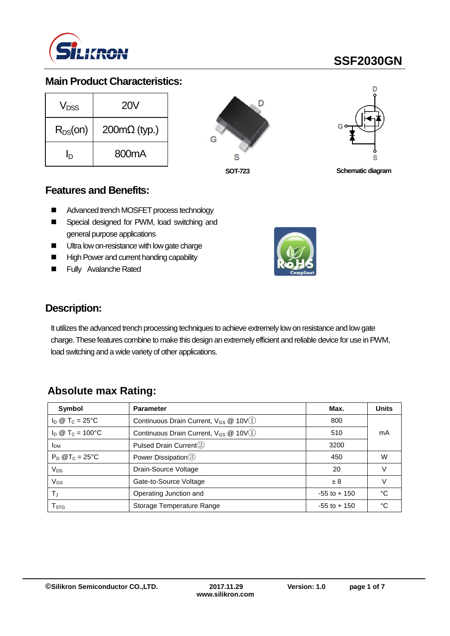

#### **Main Product Characteristics:**

| V <sub>DSS</sub> | <b>20V</b>                  |  |  |
|------------------|-----------------------------|--|--|
| $R_{DS}(on)$     | $200 \text{m}\Omega$ (typ.) |  |  |
| 'n               | 800 <sub>m</sub> A          |  |  |





**SOT-723 Schematic diagram**

#### **Features and Benefits:**

- Advanced trench MOSFET process technology
- Special designed for PWM, load switching and general purpose applications
- **Ultra low on-resistance with low gate charge**
- High Power and current handing capability
- Fully Avalanche Rated



#### **Description:**

It utilizes the advanced trench processing techniques to achieve extremely low on resistance and low gate charge. These features combine to make this design an extremely efficient and reliable device for use in PWM, load switching and a wide variety of other applications.

## **Absolute max Rating:**

| Symbol                       | <b>Parameter</b>                                               | Max.            | <b>Units</b> |  |
|------------------------------|----------------------------------------------------------------|-----------------|--------------|--|
| $I_D \otimes T_C = 25$ °C    | Continuous Drain Current, V <sub>GS</sub> @ 10V <sup>(1)</sup> | 800             |              |  |
| $I_D @ T_C = 100°C$          | Continuous Drain Current, $V_{GS}$ @ 10V(1)                    | 510             | mA           |  |
| <b>I</b> <sub>DM</sub>       | Pulsed Drain Current <sup>(2)</sup>                            | 3200            |              |  |
| $P_D$ @T <sub>C</sub> = 25°C | Power Dissipation 3                                            | 450             | W            |  |
| $V_{DS}$                     | Drain-Source Voltage                                           | 20              |              |  |
| V <sub>GS</sub>              | Gate-to-Source Voltage                                         | ±8              |              |  |
| TJ                           | Operating Junction and                                         | $-55$ to $+150$ | °C           |  |
| T <sub>STG</sub>             | Storage Temperature Range                                      | $-55$ to $+150$ | °C           |  |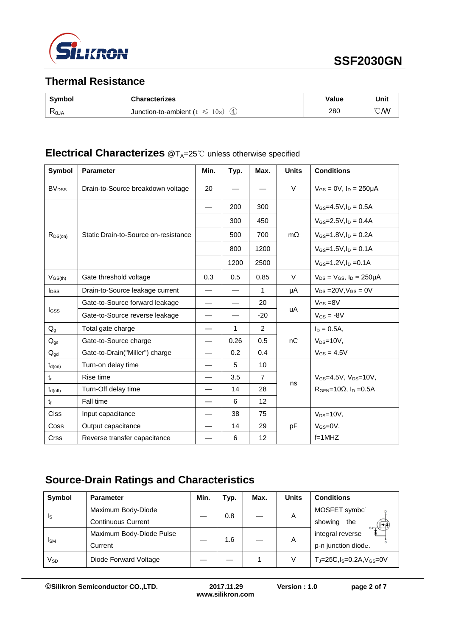

## **Thermal Resistance**

| <b>Symbol</b>    | <b>Characterizes</b>                                | Value | Unit           |
|------------------|-----------------------------------------------------|-------|----------------|
| Ҟ <sub>θJA</sub> | 10s<br>$\circledast$<br>Junction-to-ambient (t<br>╰ | 280   | $^{\circ}$ C/W |

## **Electrical Characterizes** @T<sub>A</sub>=25℃ unless otherwise specified

| Symbol                  | <b>Parameter</b>                     | Min. | Typ. | Max.           | <b>Units</b> | <b>Conditions</b>                     |
|-------------------------|--------------------------------------|------|------|----------------|--------------|---------------------------------------|
| <b>BV<sub>DSS</sub></b> | Drain-to-Source breakdown voltage    | 20   |      |                | $\vee$       | $V_{GS} = 0V$ , $I_D = 250 \mu A$     |
|                         | Static Drain-to-Source on-resistance |      | 200  | 300            | $m\Omega$    | $V_{GS} = 4.5V \cdot \ln = 0.5A$      |
|                         |                                      |      | 300  | 450            |              | $V_{GS} = 2.5 V, I_D = 0.4 A$         |
| $R_{DS(on)}$            |                                      |      | 500  | 700            |              | $V_{GS} = 1.8 V, I_D = 0.2 A$         |
|                         |                                      |      | 800  | 1200           |              | $V_{GS} = 1.5 V, I_D = 0.1 A$         |
|                         |                                      |      | 1200 | 2500           |              | $V_{GS} = 1.2 V I_D = 0.1 A$          |
| $V_{GS(th)}$            | Gate threshold voltage               | 0.3  | 0.5  | 0.85           | V            | $V_{DS} = V_{GS}$ , $I_D = 250 \mu A$ |
| $I_{\text{DSS}}$        | Drain-to-Source leakage current      |      |      | $\mathbf{1}$   | μA           | $V_{DS}$ = 20V, $V_{GS}$ = 0V         |
|                         | Gate-to-Source forward leakage       |      |      | 20             |              | $V_{GS} = 8V$                         |
| l <sub>GSS</sub>        | Gate-to-Source reverse leakage       |      |      | $-20$          | uA           | $V_{GS} = -8V$                        |
| $Q_{q}$                 | Total gate charge                    |      | 1    | 2              |              | $I_D = 0.5A$ ,                        |
| $Q_{gs}$                | Gate-to-Source charge                |      | 0.26 | 0.5            | nC           | $V_{DS}=10V$ ,                        |
| $Q_{gd}$                | Gate-to-Drain("Miller") charge       |      | 0.2  | 0.4            |              | $V_{GS} = 4.5V$                       |
| $t_{d(on)}$             | Turn-on delay time                   |      | 5    | 10             |              |                                       |
| $t_{r}$                 | Rise time                            |      | 3.5  | $\overline{7}$ |              | $V_{GS} = 4.5V$ , $V_{DS} = 10V$ ,    |
| $t_{d(\text{off})}$     | Turn-Off delay time                  |      | 14   | 28             | ns           | $RGEN=10\Omega$ , $ID=0.5A$           |
| $t_{\rm f}$             | Fall time                            |      | 6    | 12             |              |                                       |
| <b>Ciss</b>             | Input capacitance                    |      | 38   | 75             |              | $V_{DS}=10V$ ,                        |
| Coss                    | Output capacitance                   |      | 14   | 29             | pF           | $V_{GS}=$ 0V,                         |
| Crss                    | Reverse transfer capacitance         |      | 6    | 12             |              | $f=1$ MHZ                             |

## **Source-Drain Ratings and Characteristics**

| <b>Symbol</b>           | <b>Parameter</b>          | Min. | Typ. | Max. | <b>Units</b> | <b>Conditions</b>                          |
|-------------------------|---------------------------|------|------|------|--------------|--------------------------------------------|
| $\mathsf{I}_\mathsf{S}$ | Maximum Body-Diode        |      | 0.8  |      | A            | MOSFET symbo                               |
|                         | <b>Continuous Current</b> |      |      |      |              | showing<br>the                             |
| <b>I</b> <sub>SM</sub>  | Maximum Body-Diode Pulse  |      | 1.6  |      | A            | integral reverse                           |
|                         | Current                   |      |      |      |              | p-n junction diode.                        |
| Vsd                     | Diode Forward Voltage     |      |      |      | V            | $T_J = 25C$ , $I_S = 0.2A$ , $V_{GS} = 0V$ |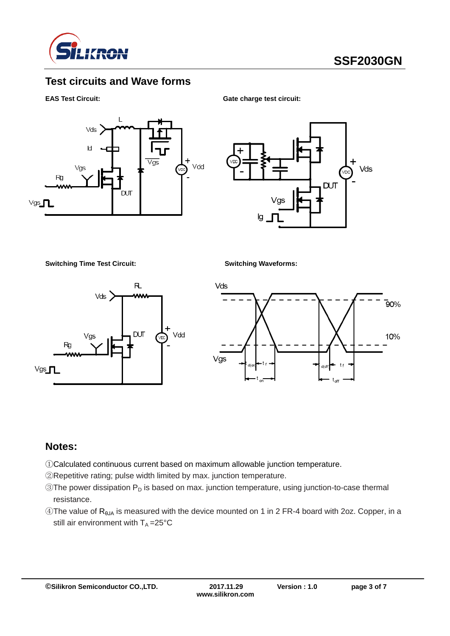

## **Test circuits and Wave forms**

#### **EAS Test Circuit:** Gate charge test circuit:





**Switching Time Test Circuit: Switching Waveforms:**





#### **Notes:**

- ①Calculated continuous current based on maximum allowable junction temperature.
- ②Repetitive rating; pulse width limited by max. junction temperature.
- $\circledR$ The power dissipation  $P_D$  is based on max. junction temperature, using junction-to-case thermal resistance.
- $\circledA$ The value of R<sub>θJA</sub> is measured with the device mounted on 1 in 2 FR-4 board with 2oz. Copper, in a still air environment with  $T_A = 25^{\circ}C$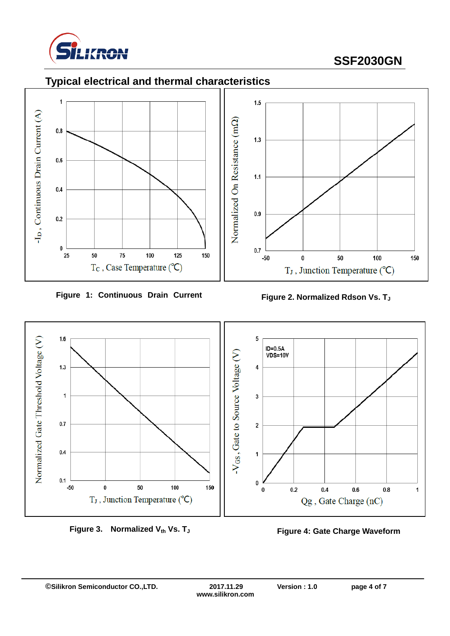

150



**Figure 1: Continuous Drain Current** 





**Figure 3. Normalized Vth Vs. T<sup>J</sup> Figure 4: Gate Charge Waveform**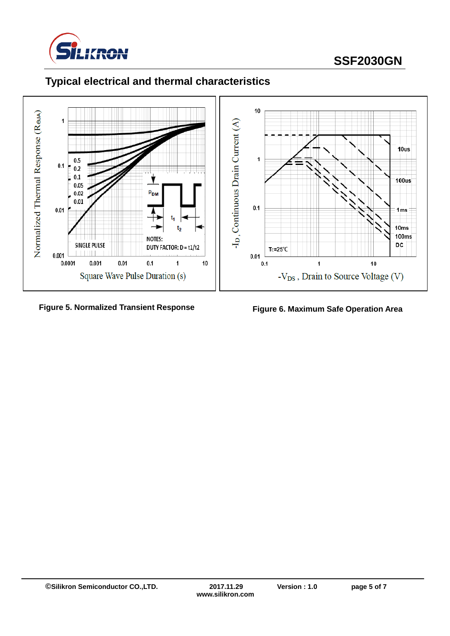



# **Typical electrical and thermal characteristics**

#### **Figure 5. Normalized Transient Response Figure 6. Maximum Safe Operation Area**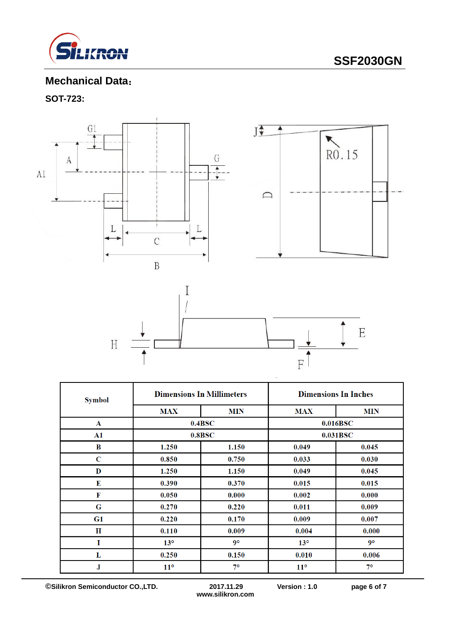

## **Mechanical Data**:

## **SOT-723:**





| <b>Symbol</b> |                           | <b>Dimensions In Millimeters</b> | <b>Dimensions In Inches</b> |            |  |
|---------------|---------------------------|----------------------------------|-----------------------------|------------|--|
|               | <b>MAX</b>                | <b>MIN</b>                       | <b>MAX</b>                  | <b>MIN</b> |  |
| $\mathbf{A}$  |                           | 0.4BSC                           | 0.016BSC                    |            |  |
| $\mathbf{A1}$ |                           | 0.8BSC                           |                             | 0.031BSC   |  |
| B             | 1.250                     | 1.150                            | 0.049                       | 0.045      |  |
| C             | 0.850                     | 0.750                            | 0.033                       | 0.030      |  |
| D             | 1.250                     | 1.150                            | 0.049                       | 0.045      |  |
| E             | 0.390                     | 0.370                            | 0.015                       | 0.015      |  |
| F             | 0.050                     | 0.000                            | 0.002                       | 0.000      |  |
| G             | 0.270                     | 0.220                            | 0.011                       | 0.009      |  |
| G1            | 0.220                     | 0.170                            | 0.009                       | 0.007      |  |
| $\bf H$       | 0.110                     | 0.009                            | 0.004                       | 0.000      |  |
| $\mathbf I$   | 13 <sup>°</sup>           | $9^\circ$                        | $13^\circ$                  | $9^\circ$  |  |
| L             | 0.250                     | 0.150                            | 0.010                       | 0.006      |  |
| J             | $7^\circ$<br>$11^{\circ}$ |                                  | $11^{\circ}$                | $7^\circ$  |  |

**©Silikron Semiconductor CO.,LTD. 2017.11.29 Version : 1.0 page 6 of 7**

**www.silikron.com**